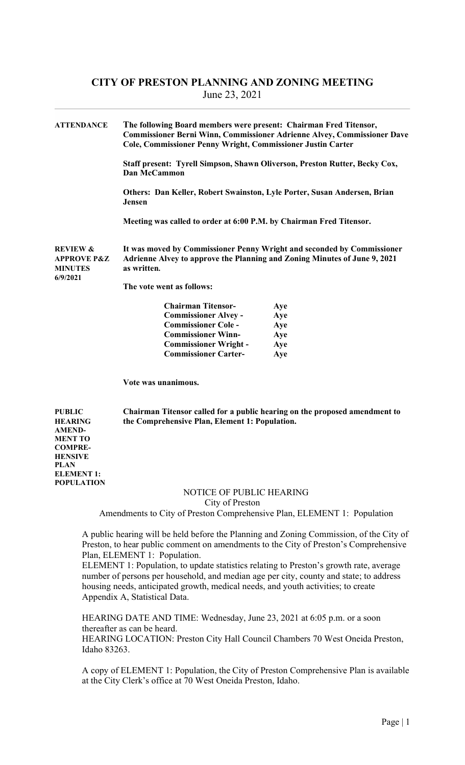| <b>ATTENDANCE</b>                                                                                              | The following Board members were present: Chairman Fred Titensor,<br><b>Commissioner Berni Winn, Commissioner Adrienne Alvey, Commissioner Dave</b><br>Cole, Commissioner Penny Wright, Commissioner Justin Carter |                                                                                                                                                                                 |  |
|----------------------------------------------------------------------------------------------------------------|--------------------------------------------------------------------------------------------------------------------------------------------------------------------------------------------------------------------|---------------------------------------------------------------------------------------------------------------------------------------------------------------------------------|--|
|                                                                                                                | Staff present: Tyrell Simpson, Shawn Oliverson, Preston Rutter, Becky Cox,<br>Dan McCammon                                                                                                                         |                                                                                                                                                                                 |  |
|                                                                                                                | Others: Dan Keller, Robert Swainston, Lyle Porter, Susan Andersen, Brian<br><b>Jensen</b>                                                                                                                          |                                                                                                                                                                                 |  |
|                                                                                                                | Meeting was called to order at 6:00 P.M. by Chairman Fred Titensor.                                                                                                                                                |                                                                                                                                                                                 |  |
| <b>REVIEW &amp;</b><br><b>APPROVE P&amp;Z</b><br><b>MINUTES</b><br>6/9/2021                                    | Adrienne Alvey to approve the Planning and Zoning Minutes of June 9, 2021<br>as written.                                                                                                                           | It was moved by Commissioner Penny Wright and seconded by Commissioner                                                                                                          |  |
|                                                                                                                | The vote went as follows:                                                                                                                                                                                          |                                                                                                                                                                                 |  |
|                                                                                                                | <b>Chairman Titensor-</b><br><b>Commissioner Alvey -</b><br><b>Commissioner Cole -</b><br><b>Commissioner Winn-</b><br><b>Commissioner Wright -</b><br><b>Commissioner Carter-</b>                                 | Aye<br>Aye<br>Aye<br>Aye<br>Aye<br>Aye                                                                                                                                          |  |
|                                                                                                                | Vote was unanimous.                                                                                                                                                                                                |                                                                                                                                                                                 |  |
| <b>PUBLIC</b><br><b>HEARING</b><br><b>AMEND-</b><br><b>MENT TO</b><br><b>COMPRE-</b><br><b>HENSIVE</b><br>PLAN | the Comprehensive Plan, Element 1: Population.                                                                                                                                                                     | Chairman Titensor called for a public hearing on the proposed amendment to                                                                                                      |  |
| <b>ELEMENT 1:</b><br><b>POPULATION</b>                                                                         |                                                                                                                                                                                                                    |                                                                                                                                                                                 |  |
|                                                                                                                | NOTICE OF PUBLIC HEARING                                                                                                                                                                                           |                                                                                                                                                                                 |  |
|                                                                                                                | City of Preston<br>Amendments to City of Preston Comprehensive Plan, ELEMENT 1: Population                                                                                                                         |                                                                                                                                                                                 |  |
|                                                                                                                |                                                                                                                                                                                                                    |                                                                                                                                                                                 |  |
|                                                                                                                |                                                                                                                                                                                                                    | A public hearing will be held before the Planning and Zoning Commission, of the City of<br>Preston, to hear public comment on amendments to the City of Preston's Comprehensive |  |

 Plan, ELEMENT 1: Population. ELEMENT 1: Population, to update statistics relating to Preston's growth rate, average

 number of persons per household, and median age per city, county and state; to address housing needs, anticipated growth, medical needs, and youth activities; to create Appendix A, Statistical Data.

 HEARING DATE AND TIME: Wednesday, June 23, 2021 at 6:05 p.m. or a soon thereafter as can be heard.

 HEARING LOCATION: Preston City Hall Council Chambers 70 West Oneida Preston, Idaho 83263.

 A copy of ELEMENT 1: Population, the City of Preston Comprehensive Plan is available at the City Clerk's office at 70 West Oneida Preston, Idaho.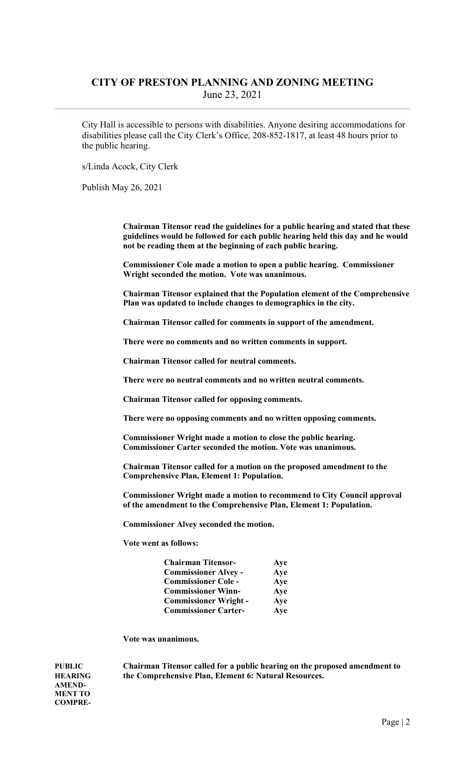City Hall is accessible to persons with disabilities. Anyone desiring accommodations for disabilities please call the City Clerk's Office, 208-852-1817, at least 48 hours prior to the public hearing.

s/Linda Acock, City Clerk

Publish May 26, 2021

 Chairman Titensor read the guidelines for a public hearing and stated that these guidelines would be followed for each public hearing held this day and he would not be reading them at the beginning of each public hearing.

 Commissioner Cole made a motion to open a public hearing. Commissioner Wright seconded the motion. Vote was unanimous.

 Chairman Titensor explained that the Population element of the Comprehensive Plan was updated to include changes to demographics in the city.

Chairman Titensor called for comments in support of the amendment.

There were no comments and no written comments in support.

Chairman Titensor called for neutral comments.

There were no neutral comments and no written neutral comments.

Chairman Titensor called for opposing comments.

There were no opposing comments and no written opposing comments.

 Commissioner Wright made a motion to close the public hearing. Commissioner Carter seconded the motion. Vote was unanimous.

 Chairman Titensor called for a motion on the proposed amendment to the Comprehensive Plan, Element 1: Population.

 Commissioner Wright made a motion to recommend to City Council approval of the amendment to the Comprehensive Plan, Element 1: Population.

Commissioner Alvey seconded the motion.

Vote went as follows:

| <b>Chairman Titensor-</b>    | Aye |
|------------------------------|-----|
| <b>Commissioner Alvey -</b>  | Aye |
| <b>Commissioner Cole -</b>   | Aye |
| <b>Commissioner Winn-</b>    | Aye |
| <b>Commissioner Wright -</b> | Aye |
| <b>Commissioner Carter-</b>  | Aye |

Vote was unanimous.

AMEND-MENT TO COMPRE-

PUBLIC Chairman Titensor called for a public hearing on the proposed amendment to HEARING the Comprehensive Plan, Element 6: Natural Resources.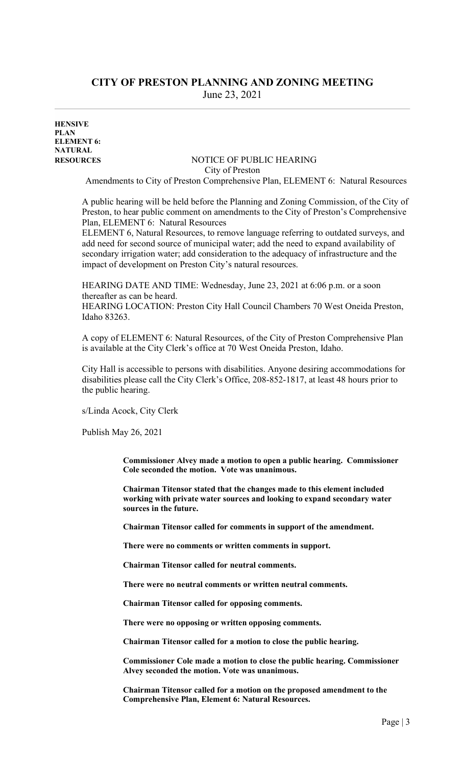**HENSIVE** PLAN ELEMENT 6: NATURAL

#### RESOURCES NOTICE OF PUBLIC HEARING City of Preston

Amendments to City of Preston Comprehensive Plan, ELEMENT 6: Natural Resources

 A public hearing will be held before the Planning and Zoning Commission, of the City of Preston, to hear public comment on amendments to the City of Preston's Comprehensive Plan, ELEMENT 6: Natural Resources

 ELEMENT 6, Natural Resources, to remove language referring to outdated surveys, and add need for second source of municipal water; add the need to expand availability of secondary irrigation water; add consideration to the adequacy of infrastructure and the impact of development on Preston City's natural resources.

 HEARING DATE AND TIME: Wednesday, June 23, 2021 at 6:06 p.m. or a soon thereafter as can be heard.

 HEARING LOCATION: Preston City Hall Council Chambers 70 West Oneida Preston, Idaho 83263.

 A copy of ELEMENT 6: Natural Resources, of the City of Preston Comprehensive Plan is available at the City Clerk's office at 70 West Oneida Preston, Idaho.

 City Hall is accessible to persons with disabilities. Anyone desiring accommodations for disabilities please call the City Clerk's Office, 208-852-1817, at least 48 hours prior to the public hearing.

s/Linda Acock, City Clerk

Publish May 26, 2021

 Commissioner Alvey made a motion to open a public hearing. Commissioner Cole seconded the motion. Vote was unanimous.

Chairman Titensor stated that the changes made to this element included working with private water sources and looking to expand secondary water sources in the future.

Chairman Titensor called for comments in support of the amendment.

There were no comments or written comments in support.

Chairman Titensor called for neutral comments.

There were no neutral comments or written neutral comments.

Chairman Titensor called for opposing comments.

There were no opposing or written opposing comments.

Chairman Titensor called for a motion to close the public hearing.

 Commissioner Cole made a motion to close the public hearing. Commissioner Alvey seconded the motion. Vote was unanimous.

 Chairman Titensor called for a motion on the proposed amendment to the Comprehensive Plan, Element 6: Natural Resources.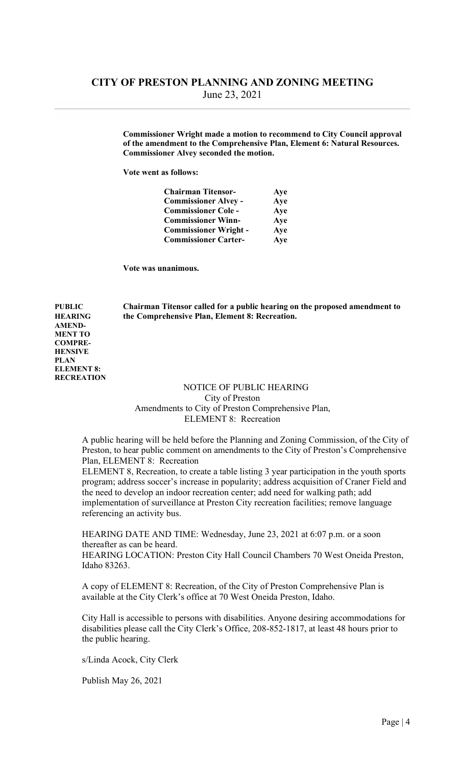Commissioner Wright made a motion to recommend to City Council approval of the amendment to the Comprehensive Plan, Element 6: Natural Resources. Commissioner Alvey seconded the motion.

Vote went as follows:

| <b>Chairman Titensor-</b>    | Aye |
|------------------------------|-----|
| <b>Commissioner Alvey -</b>  | Aye |
| <b>Commissioner Cole -</b>   | Aye |
| <b>Commissioner Winn-</b>    | Aye |
| <b>Commissioner Wright -</b> | Aye |
| <b>Commissioner Carter-</b>  | Aye |

Vote was unanimous.

AMEND-MENT TO COMPRE-HENSIVE PLAN

ELEMENT 8: **RECREATION** 

PUBLIC Chairman Titensor called for a public hearing on the proposed amendment to HEARING the Comprehensive Plan, Element 8: Recreation.

> NOTICE OF PUBLIC HEARING City of Preston Amendments to City of Preston Comprehensive Plan, ELEMENT 8: Recreation

 A public hearing will be held before the Planning and Zoning Commission, of the City of Preston, to hear public comment on amendments to the City of Preston's Comprehensive Plan, ELEMENT 8: Recreation

 ELEMENT 8, Recreation, to create a table listing 3 year participation in the youth sports program; address soccer's increase in popularity; address acquisition of Craner Field and the need to develop an indoor recreation center; add need for walking path; add implementation of surveillance at Preston City recreation facilities; remove language referencing an activity bus.

 HEARING DATE AND TIME: Wednesday, June 23, 2021 at 6:07 p.m. or a soon thereafter as can be heard.

 HEARING LOCATION: Preston City Hall Council Chambers 70 West Oneida Preston, Idaho 83263.

 A copy of ELEMENT 8: Recreation, of the City of Preston Comprehensive Plan is available at the City Clerk's office at 70 West Oneida Preston, Idaho.

 City Hall is accessible to persons with disabilities. Anyone desiring accommodations for disabilities please call the City Clerk's Office, 208-852-1817, at least 48 hours prior to the public hearing.

s/Linda Acock, City Clerk

Publish May 26, 2021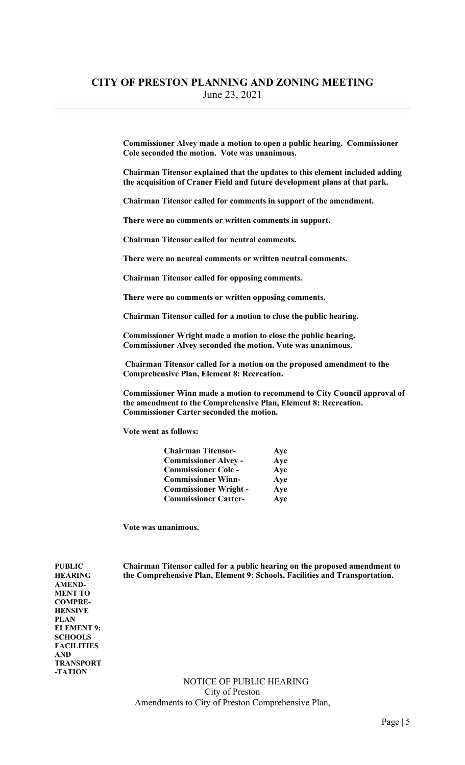Commissioner Alvey made a motion to open a public hearing. Commissioner Cole seconded the motion. Vote was unanimous.

 Chairman Titensor explained that the updates to this element included adding the acquisition of Craner Field and future development plans at that park.

Chairman Titensor called for comments in support of the amendment.

There were no comments or written comments in support.

Chairman Titensor called for neutral comments.

There were no neutral comments or written neutral comments.

Chairman Titensor called for opposing comments.

There were no comments or written opposing comments.

Chairman Titensor called for a motion to close the public hearing.

 Commissioner Wright made a motion to close the public hearing. Commissioner Alvey seconded the motion. Vote was unanimous.

 Chairman Titensor called for a motion on the proposed amendment to the Comprehensive Plan, Element 8: Recreation.

 Commissioner Winn made a motion to recommend to City Council approval of the amendment to the Comprehensive Plan, Element 8: Recreation. Commissioner Carter seconded the motion.

Vote went as follows:

| <b>Chairman Titensor-</b>    | Aye |
|------------------------------|-----|
| <b>Commissioner Alvey -</b>  | Aye |
| <b>Commissioner Cole -</b>   | Aye |
| <b>Commissioner Winn-</b>    | Aye |
| <b>Commissioner Wright -</b> | Aye |
| <b>Commissioner Carter-</b>  | Aye |

Vote was unanimous.

PUBLIC Chairman Titensor called for a public hearing on the proposed amendment to HEARING the Comprehensive Plan, Element 9: Schools, Facilities and Transportation.

AMEND-MENT TO COMPRE-HENSIVE PLAN ELEMENT 9: **SCHOOLS FACILITIES** AND TRANSPORT -TATION

> NOTICE OF PUBLIC HEARING City of Preston Amendments to City of Preston Comprehensive Plan,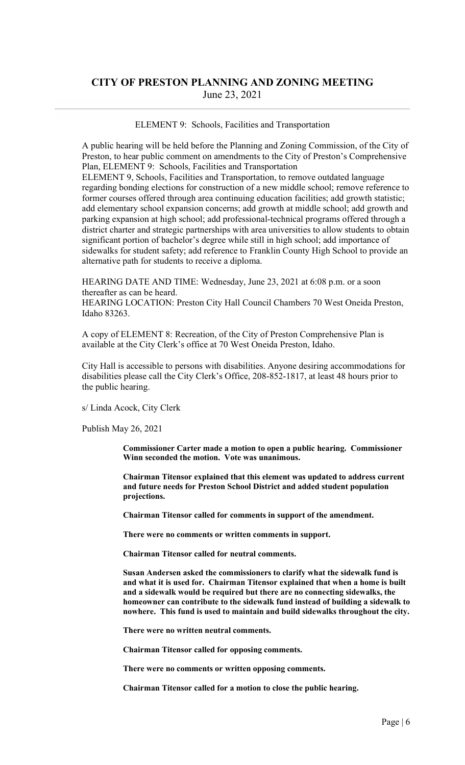#### ELEMENT 9: Schools, Facilities and Transportation

 A public hearing will be held before the Planning and Zoning Commission, of the City of Preston, to hear public comment on amendments to the City of Preston's Comprehensive Plan, ELEMENT 9: Schools, Facilities and Transportation

 ELEMENT 9, Schools, Facilities and Transportation, to remove outdated language regarding bonding elections for construction of a new middle school; remove reference to former courses offered through area continuing education facilities; add growth statistic; add elementary school expansion concerns; add growth at middle school; add growth and parking expansion at high school; add professional-technical programs offered through a district charter and strategic partnerships with area universities to allow students to obtain significant portion of bachelor's degree while still in high school; add importance of sidewalks for student safety; add reference to Franklin County High School to provide an alternative path for students to receive a diploma.

 HEARING DATE AND TIME: Wednesday, June 23, 2021 at 6:08 p.m. or a soon thereafter as can be heard.

 HEARING LOCATION: Preston City Hall Council Chambers 70 West Oneida Preston, Idaho 83263.

 A copy of ELEMENT 8: Recreation, of the City of Preston Comprehensive Plan is available at the City Clerk's office at 70 West Oneida Preston, Idaho.

 City Hall is accessible to persons with disabilities. Anyone desiring accommodations for disabilities please call the City Clerk's Office, 208-852-1817, at least 48 hours prior to the public hearing.

s/ Linda Acock, City Clerk

Publish May 26, 2021

 Commissioner Carter made a motion to open a public hearing. Commissioner Winn seconded the motion. Vote was unanimous.

 Chairman Titensor explained that this element was updated to address current and future needs for Preston School District and added student population projections.

Chairman Titensor called for comments in support of the amendment.

There were no comments or written comments in support.

Chairman Titensor called for neutral comments.

 Susan Andersen asked the commissioners to clarify what the sidewalk fund is and what it is used for. Chairman Titensor explained that when a home is built and a sidewalk would be required but there are no connecting sidewalks, the homeowner can contribute to the sidewalk fund instead of building a sidewalk to nowhere. This fund is used to maintain and build sidewalks throughout the city.

There were no written neutral comments.

Chairman Titensor called for opposing comments.

There were no comments or written opposing comments.

Chairman Titensor called for a motion to close the public hearing.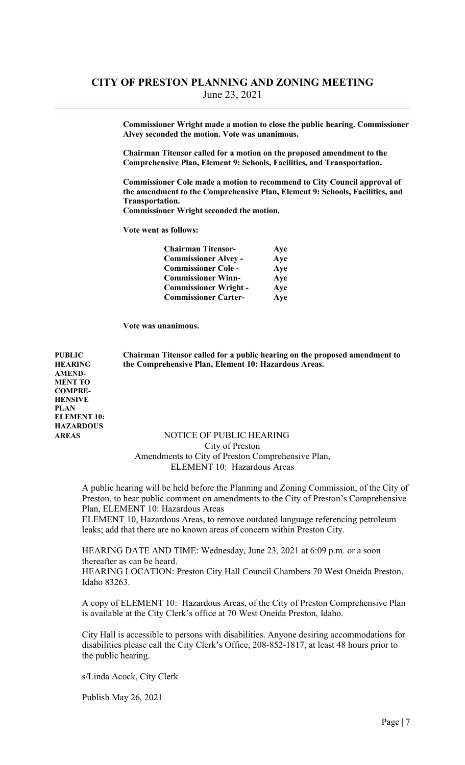Commissioner Wright made a motion to close the public hearing. Commissioner Alvey seconded the motion. Vote was unanimous.

 Chairman Titensor called for a motion on the proposed amendment to the Comprehensive Plan, Element 9: Schools, Facilities, and Transportation.

 Commissioner Cole made a motion to recommend to City Council approval of the amendment to the Comprehensive Plan, Element 9: Schools, Facilities, and Transportation.

Commissioner Wright seconded the motion.

Vote went as follows:

| <b>Chairman Titensor-</b>    | Aye |
|------------------------------|-----|
| <b>Commissioner Alvey -</b>  | Aye |
| <b>Commissioner Cole -</b>   | Aye |
| <b>Commissioner Winn-</b>    | Aye |
| <b>Commissioner Wright -</b> | Aye |
| <b>Commissioner Carter-</b>  | Aye |

Vote was unanimous.

PUBLIC Chairman Titensor called for a public hearing on the proposed amendment to HEARING the Comprehensive Plan, Element 10: Hazardous Areas.

AMEND-MENT TO COMPRE-HENSIVE PLAN ELEMENT 10: **HAZARDOUS** 

### AREAS NOTICE OF PUBLIC HEARING City of Preston Amendments to City of Preston Comprehensive Plan,

ELEMENT 10: Hazardous Areas

 A public hearing will be held before the Planning and Zoning Commission, of the City of Preston, to hear public comment on amendments to the City of Preston's Comprehensive Plan, ELEMENT 10: Hazardous Areas

 ELEMENT 10, Hazardous Areas, to remove outdated language referencing petroleum leaks; add that there are no known areas of concern within Preston City.

 HEARING DATE AND TIME: Wednesday, June 23, 2021 at 6:09 p.m. or a soon thereafter as can be heard.

 HEARING LOCATION: Preston City Hall Council Chambers 70 West Oneida Preston, Idaho 83263.

 A copy of ELEMENT 10: Hazardous Areas, of the City of Preston Comprehensive Plan is available at the City Clerk's office at 70 West Oneida Preston, Idaho.

 City Hall is accessible to persons with disabilities. Anyone desiring accommodations for disabilities please call the City Clerk's Office, 208-852-1817, at least 48 hours prior to the public hearing.

s/Linda Acock, City Clerk

Publish May 26, 2021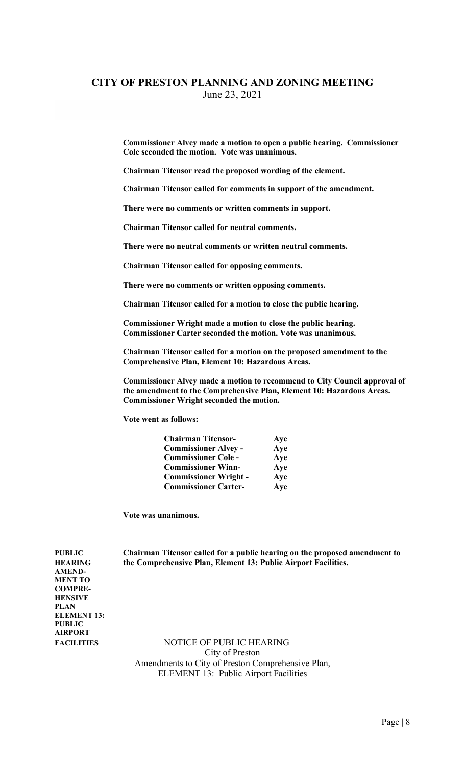Commissioner Alvey made a motion to open a public hearing. Commissioner Cole seconded the motion. Vote was unanimous.

Chairman Titensor read the proposed wording of the element.

Chairman Titensor called for comments in support of the amendment.

There were no comments or written comments in support.

Chairman Titensor called for neutral comments.

There were no neutral comments or written neutral comments.

Chairman Titensor called for opposing comments.

There were no comments or written opposing comments.

Chairman Titensor called for a motion to close the public hearing.

 Commissioner Wright made a motion to close the public hearing. Commissioner Carter seconded the motion. Vote was unanimous.

 Chairman Titensor called for a motion on the proposed amendment to the Comprehensive Plan, Element 10: Hazardous Areas.

 Commissioner Alvey made a motion to recommend to City Council approval of the amendment to the Comprehensive Plan, Element 10: Hazardous Areas. Commissioner Wright seconded the motion.

Vote went as follows:

| <b>Chairman Titensor-</b>    | Aye |
|------------------------------|-----|
| <b>Commissioner Alvey -</b>  | Aye |
| <b>Commissioner Cole -</b>   | Aye |
| <b>Commissioner Winn-</b>    | Aye |
| <b>Commissioner Wright -</b> | Aye |
| <b>Commissioner Carter-</b>  | Aye |

Vote was unanimous.

PUBLIC Chairman Titensor called for a public hearing on the proposed amendment to HEARING the Comprehensive Plan, Element 13: Public Airport Facilities.

AMEND-MENT TO COMPRE-**HENSIVE** PLAN ELEMENT 13: PUBLIC AIRPORT

FACILITIES NOTICE OF PUBLIC HEARING City of Preston Amendments to City of Preston Comprehensive Plan, ELEMENT 13: Public Airport Facilities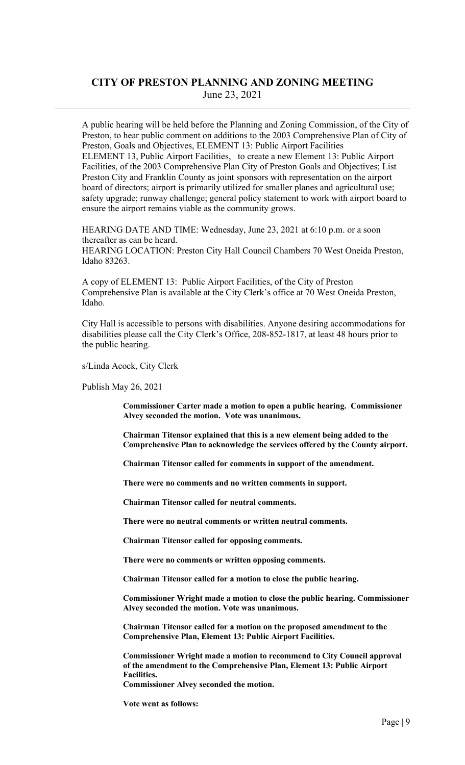A public hearing will be held before the Planning and Zoning Commission, of the City of Preston, to hear public comment on additions to the 2003 Comprehensive Plan of City of Preston, Goals and Objectives, ELEMENT 13: Public Airport Facilities ELEMENT 13, Public Airport Facilities, to create a new Element 13: Public Airport Facilities, of the 2003 Comprehensive Plan City of Preston Goals and Objectives; List Preston City and Franklin County as joint sponsors with representation on the airport board of directors; airport is primarily utilized for smaller planes and agricultural use; safety upgrade; runway challenge; general policy statement to work with airport board to ensure the airport remains viable as the community grows.

 HEARING DATE AND TIME: Wednesday, June 23, 2021 at 6:10 p.m. or a soon thereafter as can be heard. HEARING LOCATION: Preston City Hall Council Chambers 70 West Oneida Preston, Idaho 83263.

 A copy of ELEMENT 13: Public Airport Facilities, of the City of Preston Comprehensive Plan is available at the City Clerk's office at 70 West Oneida Preston, Idaho.

 City Hall is accessible to persons with disabilities. Anyone desiring accommodations for disabilities please call the City Clerk's Office, 208-852-1817, at least 48 hours prior to the public hearing.

s/Linda Acock, City Clerk

Publish May 26, 2021

 Commissioner Carter made a motion to open a public hearing. Commissioner Alvey seconded the motion. Vote was unanimous.

 Chairman Titensor explained that this is a new element being added to the Comprehensive Plan to acknowledge the services offered by the County airport.

Chairman Titensor called for comments in support of the amendment.

There were no comments and no written comments in support.

Chairman Titensor called for neutral comments.

There were no neutral comments or written neutral comments.

Chairman Titensor called for opposing comments.

There were no comments or written opposing comments.

Chairman Titensor called for a motion to close the public hearing.

 Commissioner Wright made a motion to close the public hearing. Commissioner Alvey seconded the motion. Vote was unanimous.

 Chairman Titensor called for a motion on the proposed amendment to the Comprehensive Plan, Element 13: Public Airport Facilities.

 Commissioner Wright made a motion to recommend to City Council approval of the amendment to the Comprehensive Plan, Element 13: Public Airport Facilities.

Commissioner Alvey seconded the motion.

Vote went as follows: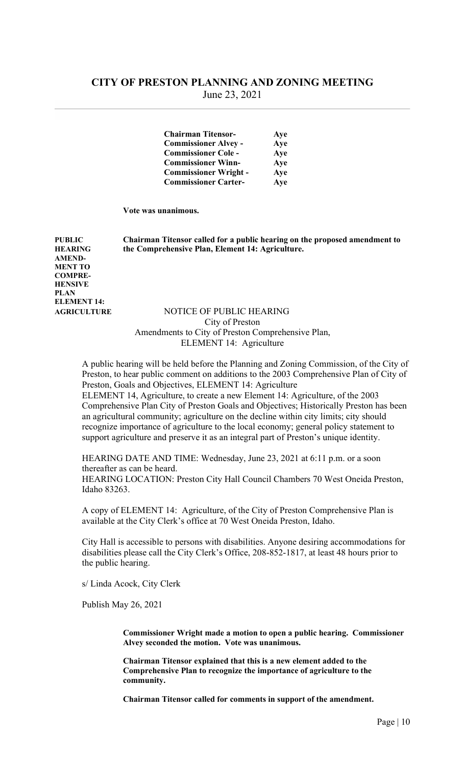| <b>Chairman Titensor-</b>    | Aye |
|------------------------------|-----|
| <b>Commissioner Alvey -</b>  | Aye |
| <b>Commissioner Cole -</b>   | Aye |
| <b>Commissioner Winn-</b>    | Aye |
| <b>Commissioner Wright -</b> | Aye |
| <b>Commissioner Carter-</b>  | Aye |

Vote was unanimous.

PUBLIC Chairman Titensor called for a public hearing on the proposed amendment to HEARING the Comprehensive Plan, Element 14: Agriculture.

AMEND-MENT TO COMPRE-**HENSIVE** PLAN ELEMENT 14:

### AGRICULTURE NOTICE OF PUBLIC HEARING City of Preston Amendments to City of Preston Comprehensive Plan, ELEMENT 14: Agriculture

 A public hearing will be held before the Planning and Zoning Commission, of the City of Preston, to hear public comment on additions to the 2003 Comprehensive Plan of City of Preston, Goals and Objectives, ELEMENT 14: Agriculture

 ELEMENT 14, Agriculture, to create a new Element 14: Agriculture, of the 2003 Comprehensive Plan City of Preston Goals and Objectives; Historically Preston has been an agricultural community; agriculture on the decline within city limits; city should recognize importance of agriculture to the local economy; general policy statement to support agriculture and preserve it as an integral part of Preston's unique identity.

 HEARING DATE AND TIME: Wednesday, June 23, 2021 at 6:11 p.m. or a soon thereafter as can be heard.

 HEARING LOCATION: Preston City Hall Council Chambers 70 West Oneida Preston, Idaho 83263.

 A copy of ELEMENT 14: Agriculture, of the City of Preston Comprehensive Plan is available at the City Clerk's office at 70 West Oneida Preston, Idaho.

 City Hall is accessible to persons with disabilities. Anyone desiring accommodations for disabilities please call the City Clerk's Office, 208-852-1817, at least 48 hours prior to the public hearing.

s/ Linda Acock, City Clerk

Publish May 26, 2021

Commissioner Wright made a motion to open a public hearing. Commissioner Alvey seconded the motion. Vote was unanimous.

Chairman Titensor explained that this is a new element added to the Comprehensive Plan to recognize the importance of agriculture to the community.

Chairman Titensor called for comments in support of the amendment.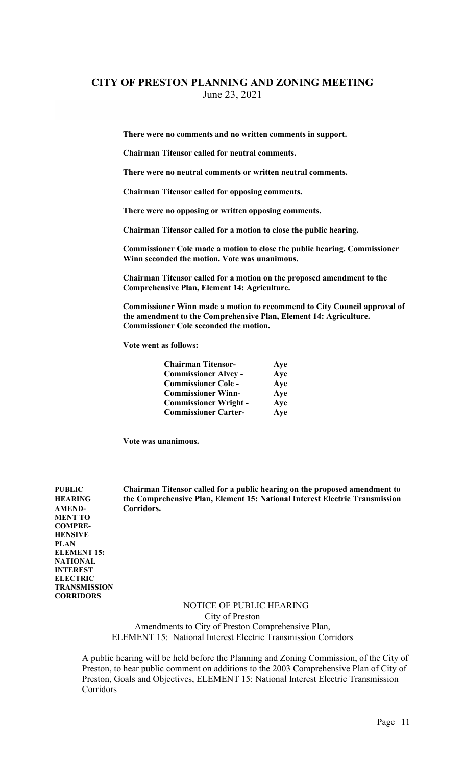There were no comments and no written comments in support.

Chairman Titensor called for neutral comments.

There were no neutral comments or written neutral comments.

Chairman Titensor called for opposing comments.

There were no opposing or written opposing comments.

Chairman Titensor called for a motion to close the public hearing.

 Commissioner Cole made a motion to close the public hearing. Commissioner Winn seconded the motion. Vote was unanimous.

 Chairman Titensor called for a motion on the proposed amendment to the Comprehensive Plan, Element 14: Agriculture.

 Commissioner Winn made a motion to recommend to City Council approval of the amendment to the Comprehensive Plan, Element 14: Agriculture. Commissioner Cole seconded the motion.

Vote went as follows:

| <b>Chairman Titensor-</b>    | Aye |
|------------------------------|-----|
| <b>Commissioner Alvey -</b>  | Aye |
| <b>Commissioner Cole -</b>   | Aye |
| <b>Commissioner Winn-</b>    | Aye |
| <b>Commissioner Wright -</b> | Aye |
| <b>Commissioner Carter-</b>  | Aye |

Vote was unanimous.

AMEND- Corridors. MENT TO COMPRE-HENSIVE PLAN ELEMENT 15: NATIONAL INTEREST ELECTRIC **TRANSMISSION CORRIDORS** 

PUBLIC Chairman Titensor called for a public hearing on the proposed amendment to HEARING the Comprehensive Plan, Element 15: National Interest Electric Transmission

> NOTICE OF PUBLIC HEARING City of Preston Amendments to City of Preston Comprehensive Plan, ELEMENT 15: National Interest Electric Transmission Corridors

 A public hearing will be held before the Planning and Zoning Commission, of the City of Preston, to hear public comment on additions to the 2003 Comprehensive Plan of City of Preston, Goals and Objectives, ELEMENT 15: National Interest Electric Transmission Corridors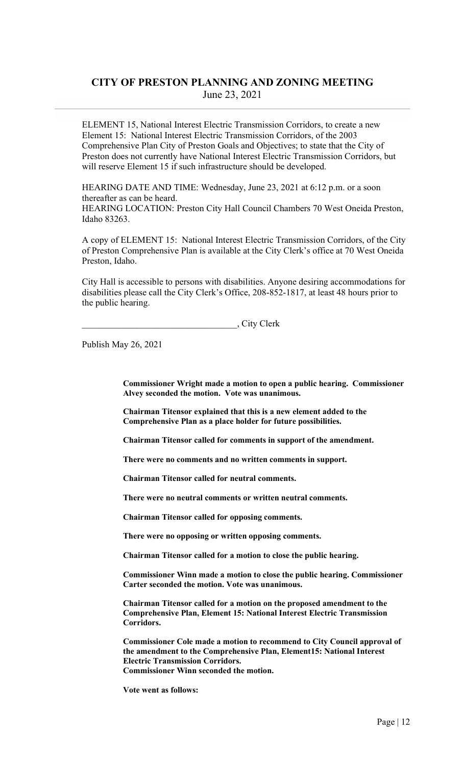ELEMENT 15, National Interest Electric Transmission Corridors, to create a new Element 15: National Interest Electric Transmission Corridors, of the 2003 Comprehensive Plan City of Preston Goals and Objectives; to state that the City of Preston does not currently have National Interest Electric Transmission Corridors, but will reserve Element 15 if such infrastructure should be developed.

 HEARING DATE AND TIME: Wednesday, June 23, 2021 at 6:12 p.m. or a soon thereafter as can be heard. HEARING LOCATION: Preston City Hall Council Chambers 70 West Oneida Preston, Idaho 83263.

 A copy of ELEMENT 15: National Interest Electric Transmission Corridors, of the City of Preston Comprehensive Plan is available at the City Clerk's office at 70 West Oneida Preston, Idaho.

 City Hall is accessible to persons with disabilities. Anyone desiring accommodations for disabilities please call the City Clerk's Office, 208-852-1817, at least 48 hours prior to the public hearing.

\_\_\_\_\_\_\_\_\_\_\_\_\_\_\_\_\_\_\_\_\_\_\_\_\_\_\_\_\_\_\_\_\_\_, City Clerk

Publish May 26, 2021

Commissioner Wright made a motion to open a public hearing. Commissioner Alvey seconded the motion. Vote was unanimous.

Chairman Titensor explained that this is a new element added to the Comprehensive Plan as a place holder for future possibilities.

Chairman Titensor called for comments in support of the amendment.

There were no comments and no written comments in support.

Chairman Titensor called for neutral comments.

There were no neutral comments or written neutral comments.

Chairman Titensor called for opposing comments.

There were no opposing or written opposing comments.

Chairman Titensor called for a motion to close the public hearing.

 Commissioner Winn made a motion to close the public hearing. Commissioner Carter seconded the motion. Vote was unanimous.

 Chairman Titensor called for a motion on the proposed amendment to the Comprehensive Plan, Element 15: National Interest Electric Transmission Corridors.

 Commissioner Cole made a motion to recommend to City Council approval of the amendment to the Comprehensive Plan, Element15: National Interest Electric Transmission Corridors. Commissioner Winn seconded the motion.

Vote went as follows: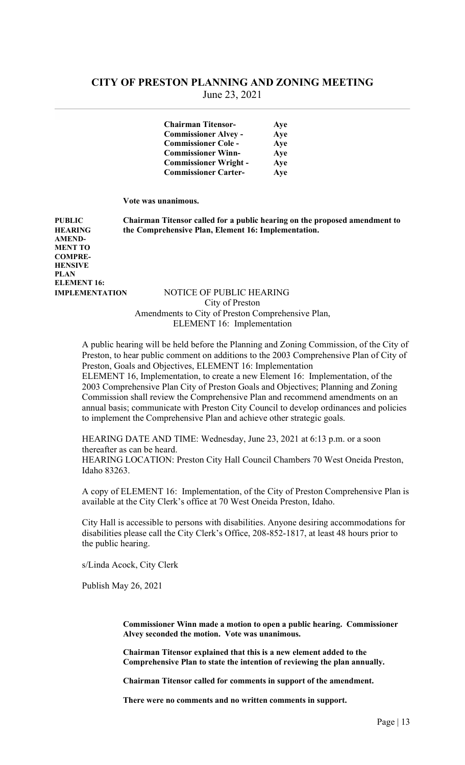| <b>Chairman Titensor-</b><br>Aye    |
|-------------------------------------|
| <b>Commissioner Alvey -</b><br>Aye  |
| <b>Commissioner Cole -</b><br>Aye   |
| <b>Commissioner Winn-</b><br>Aye    |
| <b>Commissioner Wright -</b><br>Aye |
| <b>Commissioner Carter-</b><br>Aye  |

Vote was unanimous.

PUBLIC Chairman Titensor called for a public hearing on the proposed amendment to HEARING the Comprehensive Plan, Element 16: Implementation.

AMEND-MENT TO COMPRE-HENSIVE PLAN ELEMENT 16:

#### IMPLEMENTATION NOTICE OF PUBLIC HEARING City of Preston Amendments to City of Preston Comprehensive Plan, ELEMENT 16: Implementation

 A public hearing will be held before the Planning and Zoning Commission, of the City of Preston, to hear public comment on additions to the 2003 Comprehensive Plan of City of Preston, Goals and Objectives, ELEMENT 16: Implementation ELEMENT 16, Implementation, to create a new Element 16: Implementation, of the 2003 Comprehensive Plan City of Preston Goals and Objectives; Planning and Zoning Commission shall review the Comprehensive Plan and recommend amendments on an annual basis; communicate with Preston City Council to develop ordinances and policies to implement the Comprehensive Plan and achieve other strategic goals.

 HEARING DATE AND TIME: Wednesday, June 23, 2021 at 6:13 p.m. or a soon thereafter as can be heard. HEARING LOCATION: Preston City Hall Council Chambers 70 West Oneida Preston,

Idaho 83263.

 A copy of ELEMENT 16: Implementation, of the City of Preston Comprehensive Plan is available at the City Clerk's office at 70 West Oneida Preston, Idaho.

 City Hall is accessible to persons with disabilities. Anyone desiring accommodations for disabilities please call the City Clerk's Office, 208-852-1817, at least 48 hours prior to the public hearing.

s/Linda Acock, City Clerk

Publish May 26, 2021

Commissioner Winn made a motion to open a public hearing. Commissioner Alvey seconded the motion. Vote was unanimous.

Chairman Titensor explained that this is a new element added to the Comprehensive Plan to state the intention of reviewing the plan annually.

Chairman Titensor called for comments in support of the amendment.

There were no comments and no written comments in support.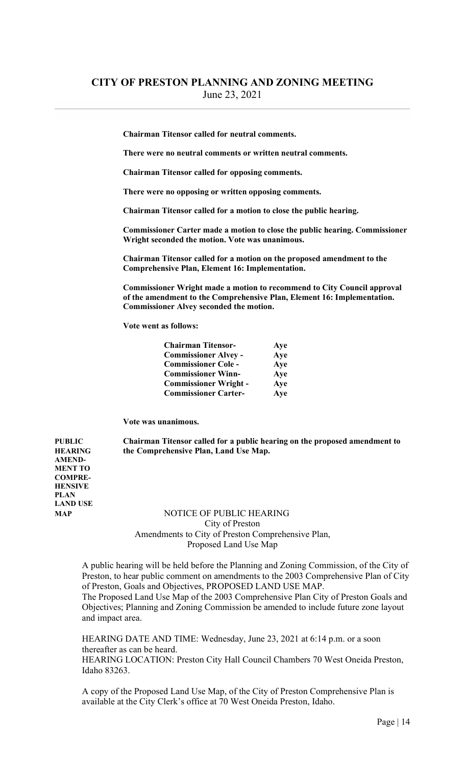Chairman Titensor called for neutral comments.

There were no neutral comments or written neutral comments.

Chairman Titensor called for opposing comments.

There were no opposing or written opposing comments.

Chairman Titensor called for a motion to close the public hearing.

 Commissioner Carter made a motion to close the public hearing. Commissioner Wright seconded the motion. Vote was unanimous.

 Chairman Titensor called for a motion on the proposed amendment to the Comprehensive Plan, Element 16: Implementation.

 Commissioner Wright made a motion to recommend to City Council approval of the amendment to the Comprehensive Plan, Element 16: Implementation. Commissioner Alvey seconded the motion.

Vote went as follows:

| <b>Chairman Titensor-</b>    | Aye |
|------------------------------|-----|
| <b>Commissioner Alvey -</b>  | Aye |
| <b>Commissioner Cole -</b>   | Aye |
| <b>Commissioner Winn-</b>    | Aye |
| <b>Commissioner Wright -</b> | Aye |
| <b>Commissioner Carter-</b>  | Aye |

Vote was unanimous.

PUBLIC Chairman Titensor called for a public hearing on the proposed amendment to HEARING the Comprehensive Plan, Land Use Map.

AMEND-MENT TO COMPRE-**HENSIVE** PLAN LAND USE

### MAP NOTICE OF PUBLIC HEARING City of Preston Amendments to City of Preston Comprehensive Plan, Proposed Land Use Map

 A public hearing will be held before the Planning and Zoning Commission, of the City of Preston, to hear public comment on amendments to the 2003 Comprehensive Plan of City of Preston, Goals and Objectives, PROPOSED LAND USE MAP. The Proposed Land Use Map of the 2003 Comprehensive Plan City of Preston Goals and

 Objectives; Planning and Zoning Commission be amended to include future zone layout and impact area.

 HEARING DATE AND TIME: Wednesday, June 23, 2021 at 6:14 p.m. or a soon thereafter as can be heard. HEARING LOCATION: Preston City Hall Council Chambers 70 West Oneida Preston, Idaho 83263.

 A copy of the Proposed Land Use Map, of the City of Preston Comprehensive Plan is available at the City Clerk's office at 70 West Oneida Preston, Idaho.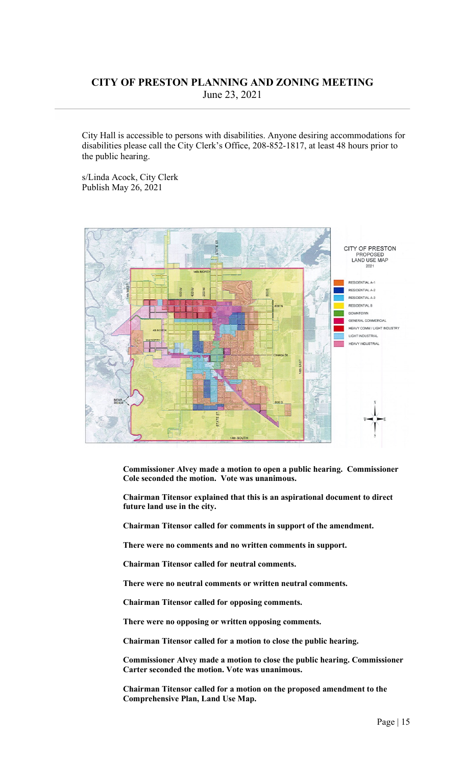City Hall is accessible to persons with disabilities. Anyone desiring accommodations for disabilities please call the City Clerk's Office, 208-852-1817, at least 48 hours prior to the public hearing.

 s/Linda Acock, City Clerk Publish May 26, 2021



Commissioner Alvey made a motion to open a public hearing. Commissioner Cole seconded the motion. Vote was unanimous.

Chairman Titensor explained that this is an aspirational document to direct future land use in the city.

Chairman Titensor called for comments in support of the amendment.

There were no comments and no written comments in support.

Chairman Titensor called for neutral comments.

There were no neutral comments or written neutral comments.

Chairman Titensor called for opposing comments.

There were no opposing or written opposing comments.

Chairman Titensor called for a motion to close the public hearing.

 Commissioner Alvey made a motion to close the public hearing. Commissioner Carter seconded the motion. Vote was unanimous.

 Chairman Titensor called for a motion on the proposed amendment to the Comprehensive Plan, Land Use Map.